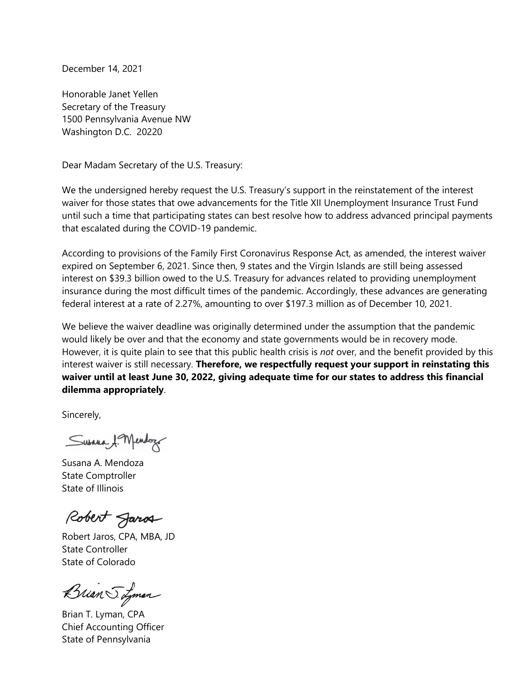December 14, 2021

Honorable Janet Yellen Secretary of the Treasury 1500 Pennsylvania Avenue NW Washington D.C. 20220

Dear Madam Secretary of the U.S. Treasury:

We the undersigned hereby request the U.S. Treasury's support in the reinstatement of the interest waiver for those states that owe advancements for the Title XII Unemployment Insurance Trust Fund until such a time that participating states can best resolve how to address advanced principal payments that escalated during the COVID-19 pandemic.

According to provisions of the Family First Coronavirus Response Act, as amended, the interest waiver expired on September 6, 2021. Since then, 9 states and the Virgin Islands are still being assessed interest on \$39.3 billion owed to the U.S. Treasury for advances related to providing unemployment insurance during the most difficult times of the pandemic. Accordingly, these advances are generating federal interest at a rate of 2.27%, amounting to over \$197.3 million as of December 10, 2021.

We believe the waiver deadline was originally determined under the assumption that the pandemic would likely be over and that the economy and state governments would be in recovery mode. However, it is quite plain to see that this public health crisis is *not* over, and the benefit provided by this interest waiver is still necessary. **Therefore, we respectfully request your support in reinstating this waiver until at least June 30, 2022, giving adequate time for our states to address this financial dilemma appropriately**.

Sincerely,

Susana 1. Mendozo

Susana A. Mendoza State Comptroller State of Illinois

Robert Jaros

Robert Jaros, CPA, MBA, JD State Controller State of Colorado

Brian S. Lyman

Brian T. Lyman, CPA Chief Accounting Officer State of Pennsylvania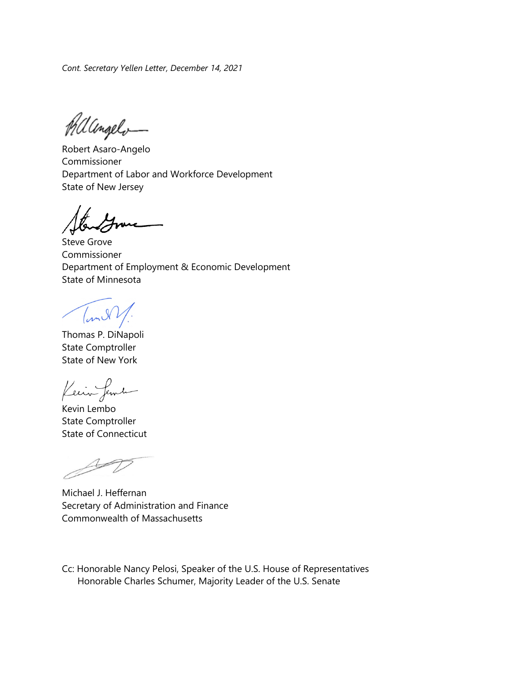*Cont. Secretary Yellen Letter, December 14, 2021*

Philangelo-

Robert Asaro-Angelo Commissioner Department of Labor and Workforce Development State of New Jersey

Steve Grove Commissioner Department of Employment & Economic Development State of Minnesota

 $\sqrt{m}$ 

Thomas P. DiNapoli State Comptroller State of New York

Kein fema

Kevin Lembo State Comptroller State of Connecticut

Michael J. Heffernan Secretary of Administration and Finance Commonwealth of Massachusetts

Cc: Honorable Nancy Pelosi, Speaker of the U.S. House of Representatives Honorable Charles Schumer, Majority Leader of the U.S. Senate